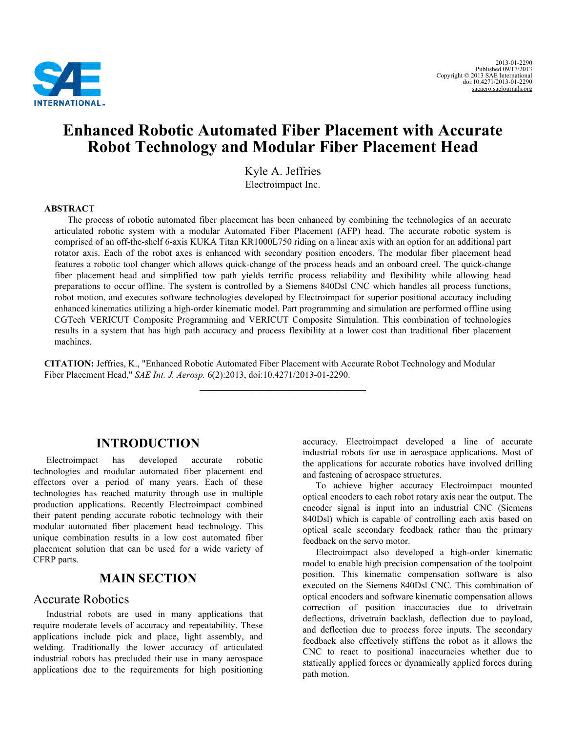

# **Enhanced Robotic Automated Fiber Placement with Accurate Robot Technology and Modular Fiber Placement Head**

Kyle A. Jeffries Electroimpact Inc.

#### **ABSTRACT**

The process of robotic automated fiber placement has been enhanced by combining the technologies of an accurate articulated robotic system with a modular Automated Fiber Placement (AFP) head. The accurate robotic system is comprised of an off-the-shelf 6-axis KUKA Titan KR1000L750 riding on a linear axis with an option for an additional part rotator axis. Each of the robot axes is enhanced with secondary position encoders. The modular fiber placement head features a robotic tool changer which allows quick-change of the process heads and an onboard creel. The quick-change fiber placement head and simplified tow path yields terrific process reliability and flexibility while allowing head preparations to occur offline. The system is controlled by a Siemens 840Dsl CNC which handles all process functions, robot motion, and executes software technologies developed by Electroimpact for superior positional accuracy including enhanced kinematics utilizing a high-order kinematic model. Part programming and simulation are performed offline using CGTech VERICUT Composite Programming and VERICUT Composite Simulation. This combination of technologies results in a system that has high path accuracy and process flexibility at a lower cost than traditional fiber placement machines.

**CITATION:** Jeffries, K., "Enhanced Robotic Automated Fiber Placement with Accurate Robot Technology and Modular Fiber Placement Head," *SAE Int. J. Aerosp.* 6(2):2013, doi:10.4271/2013-01-2290.

**\_\_\_\_\_\_\_\_\_\_\_\_\_\_\_\_\_\_\_\_\_\_\_\_\_\_\_\_\_\_\_\_\_\_\_\_**

### **INTRODUCTION**

Electroimpact has developed accurate robotic technologies and modular automated fiber placement end effectors over a period of many years. Each of these technologies has reached maturity through use in multiple production applications. Recently Electroimpact combined their patent pending accurate robotic technology with their modular automated fiber placement head technology. This unique combination results in a low cost automated fiber placement solution that can be used for a wide variety of CFRP parts.

# **MAIN SECTION**

#### Accurate Robotics

Industrial robots are used in many applications that require moderate levels of accuracy and repeatability. These applications include pick and place, light assembly, and welding. Traditionally the lower accuracy of articulated industrial robots has precluded their use in many aerospace applications due to the requirements for high positioning accuracy. Electroimpact developed a line of accurate industrial robots for use in aerospace applications. Most of the applications for accurate robotics have involved drilling and fastening of aerospace structures.

To achieve higher accuracy Electroimpact mounted optical encoders to each robot rotary axis near the output. The encoder signal is input into an industrial CNC (Siemens 840Dsl) which is capable of controlling each axis based on optical scale secondary feedback rather than the primary feedback on the servo motor.

Electroimpact also developed a high-order kinematic model to enable high precision compensation of the toolpoint position. This kinematic compensation software is also executed on the Siemens 840Dsl CNC. This combination of optical encoders and software kinematic compensation allows correction of position inaccuracies due to drivetrain deflections, drivetrain backlash, deflection due to payload, and deflection due to process force inputs. The secondary feedback also effectively stiffens the robot as it allows the CNC to react to positional inaccuracies whether due to statically applied forces or dynamically applied forces during path motion.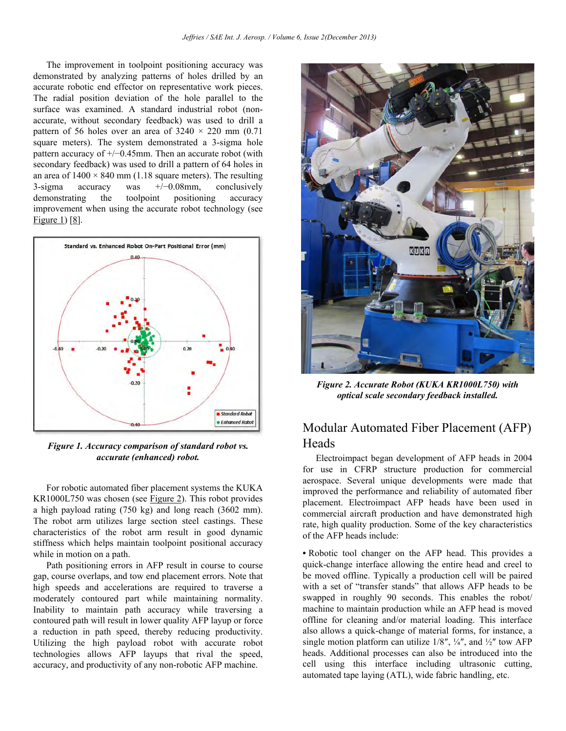The improvement in toolpoint positioning accuracy was demonstrated by analyzing patterns of holes drilled by an accurate robotic end effector on representative work pieces. The radial position deviation of the hole parallel to the surface was examined. A standard industrial robot (nonaccurate, without secondary feedback) was used to drill a pattern of 56 holes over an area of  $3240 \times 220$  mm (0.71) square meters). The system demonstrated a 3-sigma hole pattern accuracy of +/−0.45mm. Then an accurate robot (with secondary feedback) was used to drill a pattern of 64 holes in an area of  $1400 \times 840$  mm (1.18 square meters). The resulting 3-sigma accuracy was +/−0.08mm, conclusively demonstrating the toolpoint positioning accuracy improvement when using the accurate robot technology (see Figure 1) [[8\]](#page-5-0).



*Figure 1. Accuracy comparison of standard robot vs. accurate (enhanced) robot.*

For robotic automated fiber placement systems the KUKA KR1000L750 was chosen (see Figure 2). This robot provides a high payload rating (750 kg) and long reach (3602 mm). The robot arm utilizes large section steel castings. These characteristics of the robot arm result in good dynamic stiffness which helps maintain toolpoint positional accuracy while in motion on a path.

Path positioning errors in AFP result in course to course gap, course overlaps, and tow end placement errors. Note that high speeds and accelerations are required to traverse a moderately contoured part while maintaining normality. Inability to maintain path accuracy while traversing a contoured path will result in lower quality AFP layup or force a reduction in path speed, thereby reducing productivity. Utilizing the high payload robot with accurate robot technologies allows AFP layups that rival the speed, accuracy, and productivity of any non-robotic AFP machine.



*Figure 2. Accurate Robot (KUKA KR1000L750) with optical scale secondary feedback installed.*

# Modular Automated Fiber Placement (AFP) **Heads**

Electroimpact began development of AFP heads in 2004 for use in CFRP structure production for commercial aerospace. Several unique developments were made that improved the performance and reliability of automated fiber placement. Electroimpact AFP heads have been used in commercial aircraft production and have demonstrated high rate, high quality production. Some of the key characteristics of the AFP heads include:

**•** Robotic tool changer on the AFP head. This provides a quick-change interface allowing the entire head and creel to be moved offline. Typically a production cell will be paired with a set of "transfer stands" that allows AFP heads to be swapped in roughly 90 seconds. This enables the robot/ machine to maintain production while an AFP head is moved offline for cleaning and/or material loading. This interface also allows a quick-change of material forms, for instance, a single motion platform can utilize  $1/8''$ ,  $\frac{1}{4}$ , and  $\frac{1}{2}$  tow AFP heads. Additional processes can also be introduced into the cell using this interface including ultrasonic cutting, automated tape laying (ATL), wide fabric handling, etc.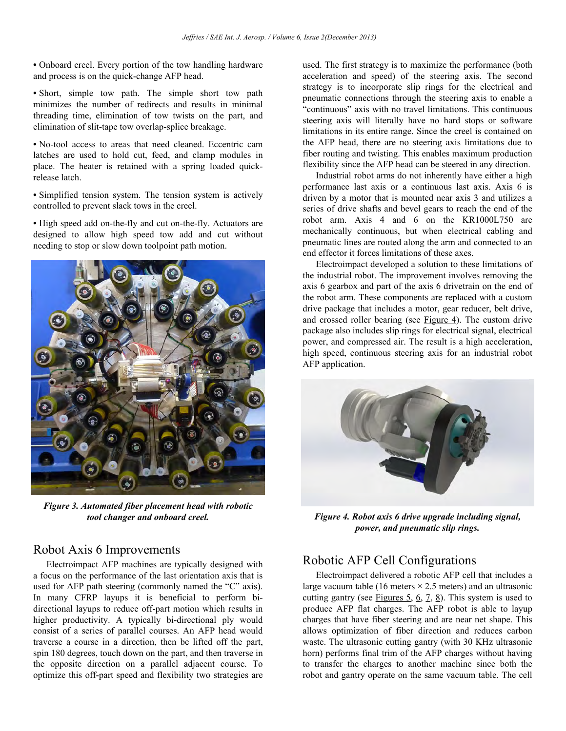**•** Onboard creel. Every portion of the tow handling hardware and process is on the quick-change AFP head.

**•** Short, simple tow path. The simple short tow path minimizes the number of redirects and results in minimal threading time, elimination of tow twists on the part, and elimination of slit-tape tow overlap-splice breakage.

**•** No-tool access to areas that need cleaned. Eccentric cam latches are used to hold cut, feed, and clamp modules in place. The heater is retained with a spring loaded quickrelease latch.

**•** Simplified tension system. The tension system is actively controlled to prevent slack tows in the creel.

**•** High speed add on-the-fly and cut on-the-fly. Actuators are designed to allow high speed tow add and cut without needing to stop or slow down toolpoint path motion.



*Figure 3. Automated fiber placement head with robotic tool changer and onboard creel.*

# Robot Axis 6 Improvements

Electroimpact AFP machines are typically designed with a focus on the performance of the last orientation axis that is used for AFP path steering (commonly named the "C" axis). In many CFRP layups it is beneficial to perform bidirectional layups to reduce off-part motion which results in higher productivity. A typically bi-directional ply would consist of a series of parallel courses. An AFP head would traverse a course in a direction, then be lifted off the part, spin 180 degrees, touch down on the part, and then traverse in the opposite direction on a parallel adjacent course. To optimize this off-part speed and flexibility two strategies are

used. The first strategy is to maximize the performance (both acceleration and speed) of the steering axis. The second strategy is to incorporate slip rings for the electrical and pneumatic connections through the steering axis to enable a "continuous" axis with no travel limitations. This continuous steering axis will literally have no hard stops or software limitations in its entire range. Since the creel is contained on the AFP head, there are no steering axis limitations due to fiber routing and twisting. This enables maximum production flexibility since the AFP head can be steered in any direction.

Industrial robot arms do not inherently have either a high performance last axis or a continuous last axis. Axis 6 is driven by a motor that is mounted near axis 3 and utilizes a series of drive shafts and bevel gears to reach the end of the robot arm. Axis 4 and 6 on the KR1000L750 are mechanically continuous, but when electrical cabling and pneumatic lines are routed along the arm and connected to an end effector it forces limitations of these axes.

Electroimpact developed a solution to these limitations of the industrial robot. The improvement involves removing the axis 6 gearbox and part of the axis 6 drivetrain on the end of the robot arm. These components are replaced with a custom drive package that includes a motor, gear reducer, belt drive, and crossed roller bearing (see Figure 4). The custom drive package also includes slip rings for electrical signal, electrical power, and compressed air. The result is a high acceleration, high speed, continuous steering axis for an industrial robot AFP application.



*Figure 4. Robot axis 6 drive upgrade including signal, power, and pneumatic slip rings.*

# Robotic AFP Cell Configurations

Electroimpact delivered a robotic AFP cell that includes a large vacuum table (16 meters  $\times$  2.5 meters) and an ultrasonic cutting gantry (see Figures  $5, 6, 7, 8$  $5, 6, 7, 8$  $5, 6, 7, 8$  $5, 6, 7, 8$  $5, 6, 7, 8$  $5, 6, 7, 8$ ). This system is used to produce AFP flat charges. The AFP robot is able to layup charges that have fiber steering and are near net shape. This allows optimization of fiber direction and reduces carbon waste. The ultrasonic cutting gantry (with 30 KHz ultrasonic horn) performs final trim of the AFP charges without having to transfer the charges to another machine since both the robot and gantry operate on the same vacuum table. The cell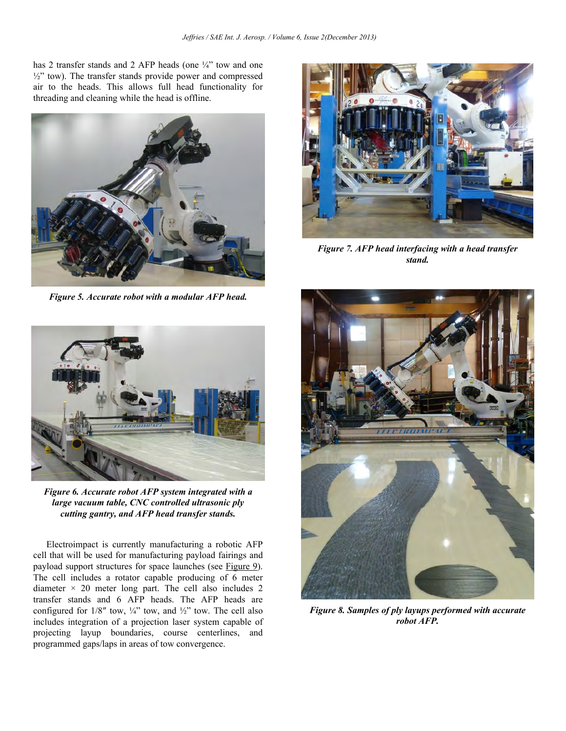<span id="page-3-0"></span>has 2 transfer stands and 2 AFP heads (one  $\frac{1}{4}$ " tow and one  $\frac{1}{2}$ " tow). The transfer stands provide power and compressed air to the heads. This allows full head functionality for threading and cleaning while the head is offline.



*Figure 5. Accurate robot with a modular AFP head.*



*Figure 6. Accurate robot AFP system integrated with a large vacuum table, CNC controlled ultrasonic ply cutting gantry, and AFP head transfer stands.*

Electroimpact is currently manufacturing a robotic AFP cell that will be used for manufacturing payload fairings and payload support structures for space launches (see [Figure 9\)](#page-4-0). The cell includes a rotator capable producing of 6 meter diameter  $\times$  20 meter long part. The cell also includes 2 transfer stands and 6 AFP heads. The AFP heads are configured for  $1/8''$  tow,  $\frac{1}{4}''$  tow, and  $\frac{1}{2}''$  tow. The cell also includes integration of a projection laser system capable of projecting layup boundaries, course centerlines, and programmed gaps/laps in areas of tow convergence.



*Figure 7. AFP head interfacing with a head transfer stand.*



*Figure 8. Samples of ply layups performed with accurate robot AFP.*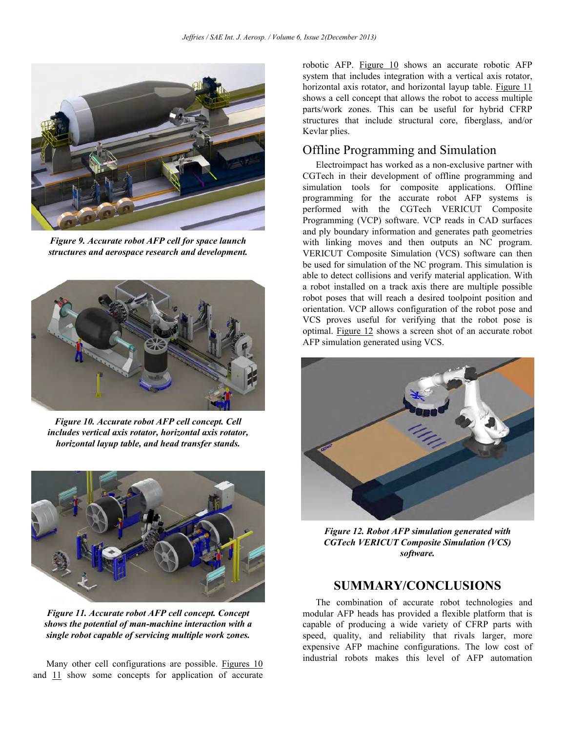<span id="page-4-0"></span>

*Figure 9. Accurate robot AFP cell for space launch structures and aerospace research and development.*



*Figure 10. Accurate robot AFP cell concept. Cell includes vertical axis rotator, horizontal axis rotator, horizontal layup table, and head transfer stands.*



*Figure 11. Accurate robot AFP cell concept. Concept shows the potential of man-machine interaction with a single robot capable of servicing multiple work zones.*

Many other cell configurations are possible. Figures 10 and  $11$  show some concepts for application of accurate

robotic AFP. Figure 10 shows an accurate robotic AFP system that includes integration with a vertical axis rotator, horizontal axis rotator, and horizontal layup table. Figure 11 shows a cell concept that allows the robot to access multiple parts/work zones. This can be useful for hybrid CFRP structures that include structural core, fiberglass, and/or Kevlar plies.

# Offline Programming and Simulation

Electroimpact has worked as a non-exclusive partner with CGTech in their development of offline programming and simulation tools for composite applications. Offline programming for the accurate robot AFP systems is performed with the CGTech VERICUT Composite Programming (VCP) software. VCP reads in CAD surfaces and ply boundary information and generates path geometries with linking moves and then outputs an NC program. VERICUT Composite Simulation (VCS) software can then be used for simulation of the NC program. This simulation is able to detect collisions and verify material application. With a robot installed on a track axis there are multiple possible robot poses that will reach a desired toolpoint position and orientation. VCP allows configuration of the robot pose and VCS proves useful for verifying that the robot pose is optimal. Figure 12 shows a screen shot of an accurate robot AFP simulation generated using VCS.



*Figure 12. Robot AFP simulation generated with CGTech VERICUT Composite Simulation (VCS) software.*

# **SUMMARY/CONCLUSIONS**

The combination of accurate robot technologies and modular AFP heads has provided a flexible platform that is capable of producing a wide variety of CFRP parts with speed, quality, and reliability that rivals larger, more expensive AFP machine configurations. The low cost of industrial robots makes this level of AFP automation